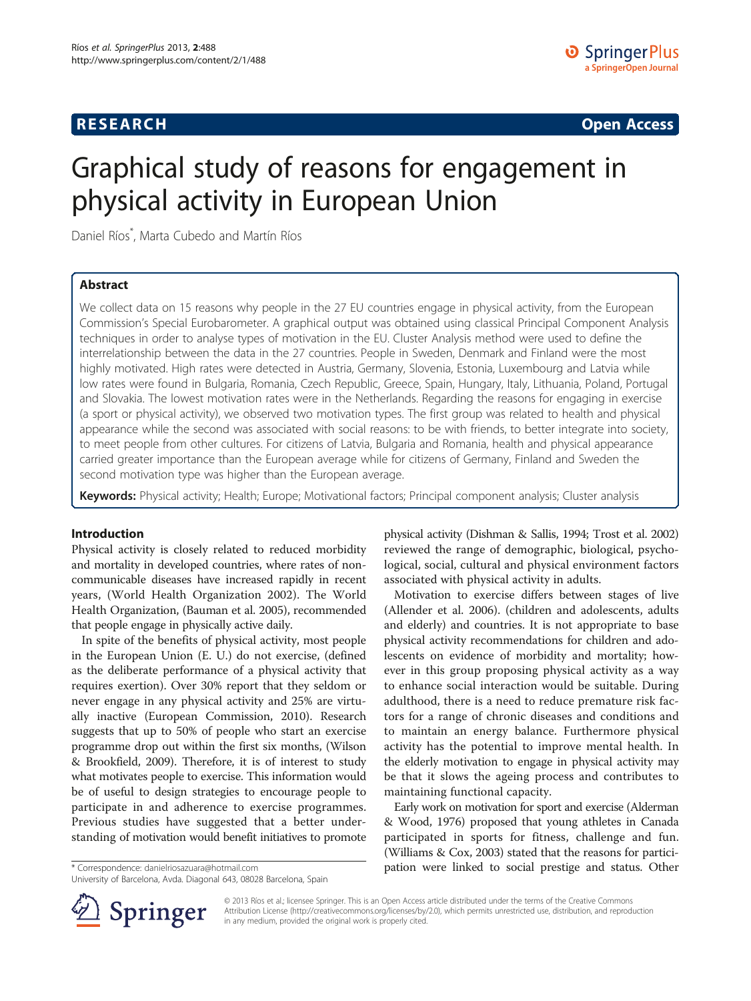# **RESEARCH RESEARCH CONSUMING ACCESS**

# Graphical study of reasons for engagement in physical activity in European Union

Daniel Ríos\* , Marta Cubedo and Martín Ríos

## Abstract

We collect data on 15 reasons why people in the 27 EU countries engage in physical activity, from the European Commission's Special Eurobarometer. A graphical output was obtained using classical Principal Component Analysis techniques in order to analyse types of motivation in the EU. Cluster Analysis method were used to define the interrelationship between the data in the 27 countries. People in Sweden, Denmark and Finland were the most highly motivated. High rates were detected in Austria, Germany, Slovenia, Estonia, Luxembourg and Latvia while low rates were found in Bulgaria, Romania, Czech Republic, Greece, Spain, Hungary, Italy, Lithuania, Poland, Portugal and Slovakia. The lowest motivation rates were in the Netherlands. Regarding the reasons for engaging in exercise (a sport or physical activity), we observed two motivation types. The first group was related to health and physical appearance while the second was associated with social reasons: to be with friends, to better integrate into society, to meet people from other cultures. For citizens of Latvia, Bulgaria and Romania, health and physical appearance carried greater importance than the European average while for citizens of Germany, Finland and Sweden the second motivation type was higher than the European average.

Keywords: Physical activity; Health; Europe; Motivational factors; Principal component analysis; Cluster analysis

#### Introduction

Physical activity is closely related to reduced morbidity and mortality in developed countries, where rates of noncommunicable diseases have increased rapidly in recent years, (World Health Organization [2002](#page-5-0)). The World Health Organization, (Bauman et al. [2005\)](#page-4-0), recommended that people engage in physically active daily.

In spite of the benefits of physical activity, most people in the European Union (E. U.) do not exercise, (defined as the deliberate performance of a physical activity that requires exertion). Over 30% report that they seldom or never engage in any physical activity and 25% are virtually inactive (European Commission, [2010\)](#page-4-0). Research suggests that up to 50% of people who start an exercise programme drop out within the first six months, (Wilson & Brookfield, [2009\)](#page-5-0). Therefore, it is of interest to study what motivates people to exercise. This information would be of useful to design strategies to encourage people to participate in and adherence to exercise programmes. Previous studies have suggested that a better understanding of motivation would benefit initiatives to promote

University of Barcelona, Avda. Diagonal 643, 08028 Barcelona, Spain

physical activity (Dishman & Sallis, [1994](#page-4-0); Trost et al. [2002](#page-5-0)) reviewed the range of demographic, biological, psychological, social, cultural and physical environment factors associated with physical activity in adults.

Motivation to exercise differs between stages of live (Allender et al. [2006\)](#page-4-0). (children and adolescents, adults and elderly) and countries. It is not appropriate to base physical activity recommendations for children and adolescents on evidence of morbidity and mortality; however in this group proposing physical activity as a way to enhance social interaction would be suitable. During adulthood, there is a need to reduce premature risk factors for a range of chronic diseases and conditions and to maintain an energy balance. Furthermore physical activity has the potential to improve mental health. In the elderly motivation to engage in physical activity may be that it slows the ageing process and contributes to maintaining functional capacity.

Early work on motivation for sport and exercise (Alderman & Wood, [1976\)](#page-4-0) proposed that young athletes in Canada participated in sports for fitness, challenge and fun. (Williams & Cox, [2003\)](#page-5-0) stated that the reasons for partici- \* Correspondence: [danielriosazuara@hotmail.com](mailto:danielriosazuara@hotmail.com) pation were linked to social prestige and status. Other



© 2013 Ríos et al.; licensee Springer. This is an Open Access article distributed under the terms of the Creative Commons Attribution License [\(http://creativecommons.org/licenses/by/2.0\)](http://creativecommons.org/licenses/by/2.0), which permits unrestricted use, distribution, and reproduction in any medium, provided the original work is properly cited.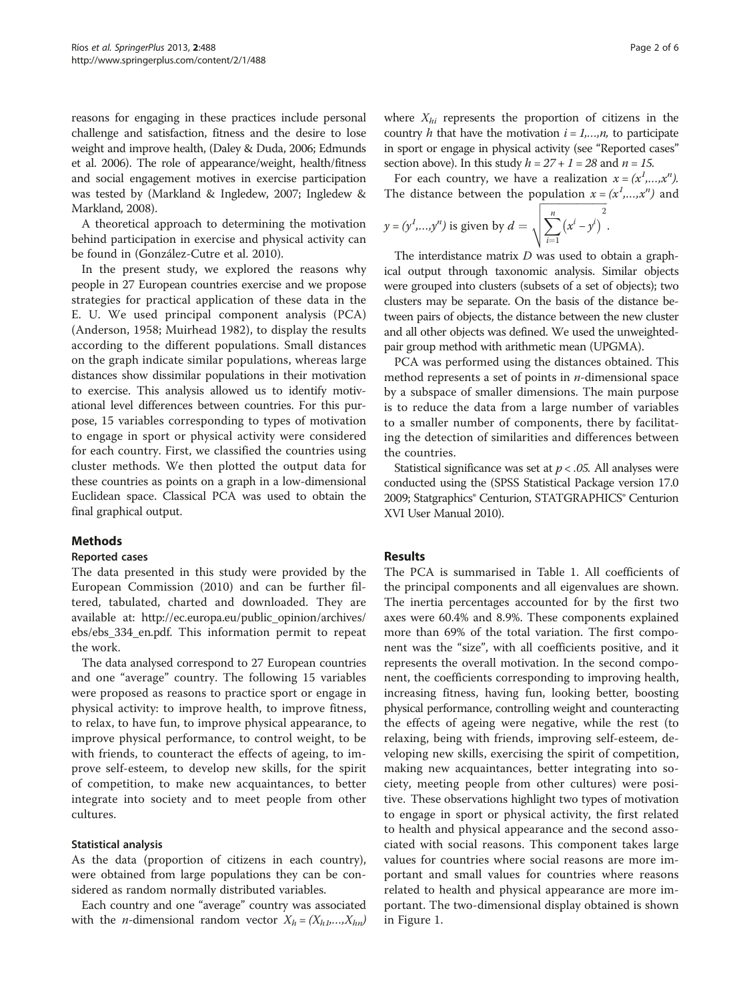reasons for engaging in these practices include personal challenge and satisfaction, fitness and the desire to lose weight and improve health, (Daley & Duda, [2006](#page-4-0); Edmunds et al. [2006](#page-4-0)). The role of appearance/weight, health/fitness and social engagement motives in exercise participation was tested by (Markland & Ingledew, [2007;](#page-4-0) Ingledew & Markland, [2008\)](#page-4-0).

A theoretical approach to determining the motivation behind participation in exercise and physical activity can be found in (González-Cutre et al. [2010\)](#page-4-0).

In the present study, we explored the reasons why people in 27 European countries exercise and we propose strategies for practical application of these data in the E. U. We used principal component analysis (PCA) (Anderson, [1958;](#page-4-0) Muirhead [1982](#page-4-0)), to display the results according to the different populations. Small distances on the graph indicate similar populations, whereas large distances show dissimilar populations in their motivation to exercise. This analysis allowed us to identify motivational level differences between countries. For this purpose, 15 variables corresponding to types of motivation to engage in sport or physical activity were considered for each country. First, we classified the countries using cluster methods. We then plotted the output data for these countries as points on a graph in a low-dimensional Euclidean space. Classical PCA was used to obtain the final graphical output.

## Methods

## Reported cases

The data presented in this study were provided by the European Commission ([2010\)](#page-4-0) and can be further filtered, tabulated, charted and downloaded. They are available at: [http://ec.europa.eu/public\\_opinion/archives/](http://ec.europa.eu/public_opinion/archives/ebs/ebs_334_en.pdf) [ebs/ebs\\_334\\_en.pdf.](http://ec.europa.eu/public_opinion/archives/ebs/ebs_334_en.pdf) This information permit to repeat the work.

The data analysed correspond to 27 European countries and one "average" country. The following 15 variables were proposed as reasons to practice sport or engage in physical activity: to improve health, to improve fitness, to relax, to have fun, to improve physical appearance, to improve physical performance, to control weight, to be with friends, to counteract the effects of ageing, to improve self-esteem, to develop new skills, for the spirit of competition, to make new acquaintances, to better integrate into society and to meet people from other cultures.

## Statistical analysis

As the data (proportion of citizens in each country), were obtained from large populations they can be considered as random normally distributed variables.

Each country and one "average" country was associated with the *n*-dimensional random vector  $X_h = (X_{h1},...,X_{hn})$  where  $X_{hi}$  represents the proportion of citizens in the country h that have the motivation  $i = 1,...,n$ , to participate in sport or engage in physical activity (see "Reported cases" section above). In this study  $h = 27 + 1 = 28$  and  $n = 15$ .

For each country, we have a realization  $x = (x^1,...,x^n)$ . The distance between the population  $x = (x^1,...,x^n)$  and

$$
y = (y^1,...,y^n)
$$
 is given by  $d = \sqrt{\sum_{i=1}^n (x^i - y^i)^2}$ .

The interdistance matrix  $D$  was used to obtain a graphical output through taxonomic analysis. Similar objects were grouped into clusters (subsets of a set of objects); two clusters may be separate. On the basis of the distance between pairs of objects, the distance between the new cluster and all other objects was defined. We used the unweightedpair group method with arithmetic mean (UPGMA).

PCA was performed using the distances obtained. This method represents a set of points in  $n$ -dimensional space by a subspace of smaller dimensions. The main purpose is to reduce the data from a large number of variables to a smaller number of components, there by facilitating the detection of similarities and differences between the countries.

Statistical significance was set at  $p < .05$ . All analyses were conducted using the (SPSS Statistical Package version 17.0 [2009;](#page-4-0) Statgraphics® Centurion, STATGRAPHICS® Centurion XVI User Manual [2010\)](#page-4-0).

## Results

The PCA is summarised in Table [1](#page-2-0). All coefficients of the principal components and all eigenvalues are shown. The inertia percentages accounted for by the first two axes were 60.4% and 8.9%. These components explained more than 69% of the total variation. The first component was the "size", with all coefficients positive, and it represents the overall motivation. In the second component, the coefficients corresponding to improving health, increasing fitness, having fun, looking better, boosting physical performance, controlling weight and counteracting the effects of ageing were negative, while the rest (to relaxing, being with friends, improving self-esteem, developing new skills, exercising the spirit of competition, making new acquaintances, better integrating into society, meeting people from other cultures) were positive. These observations highlight two types of motivation to engage in sport or physical activity, the first related to health and physical appearance and the second associated with social reasons. This component takes large values for countries where social reasons are more important and small values for countries where reasons related to health and physical appearance are more important. The two-dimensional display obtained is shown in Figure [1](#page-2-0).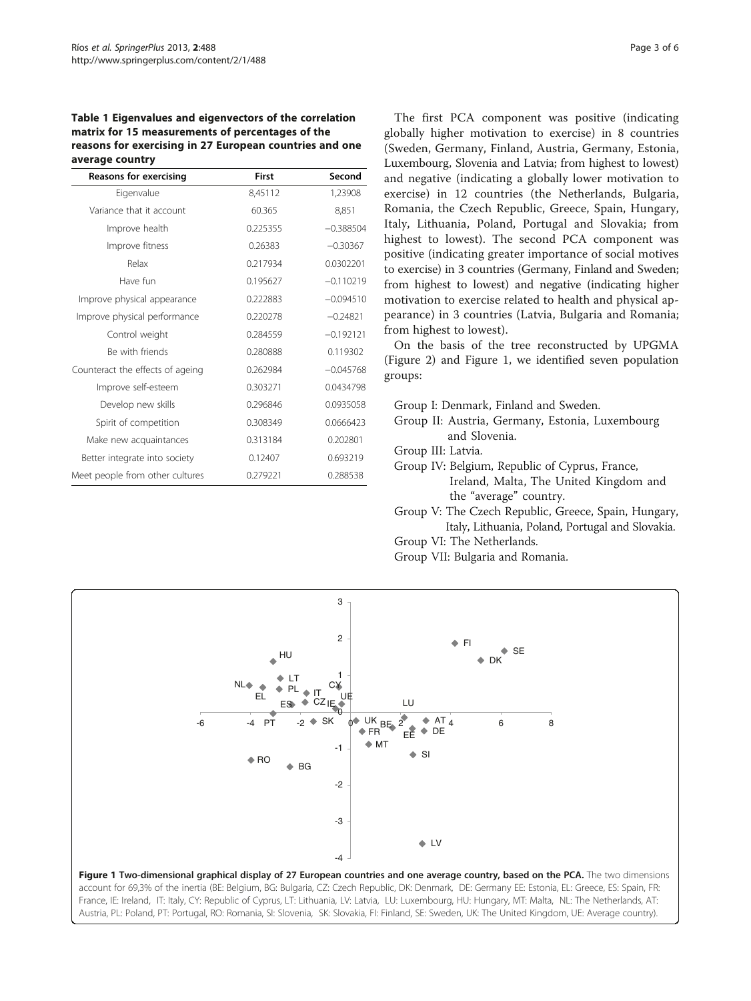#### <span id="page-2-0"></span>Table 1 Eigenvalues and eigenvectors of the correlation matrix for 15 measurements of percentages of the reasons for exercising in 27 European countries and one average country

| <b>Reasons for exercising</b>    | First    | Second      |  |
|----------------------------------|----------|-------------|--|
| Eigenvalue                       | 8,45112  | 1,23908     |  |
| Variance that it account         | 60.365   | 8,851       |  |
| Improve health                   | 0.225355 | $-0.388504$ |  |
| Improve fitness                  | 0.26383  | $-0.30367$  |  |
| Relax                            | 0.217934 | 0.0302201   |  |
| Have fun                         | 0.195627 | $-0.110219$ |  |
| Improve physical appearance      | 0.222883 | $-0.094510$ |  |
| Improve physical performance     | 0.220278 | $-0.24821$  |  |
| Control weight                   | 0.284559 | $-0.192121$ |  |
| Be with friends                  | 0.280888 | 0.119302    |  |
| Counteract the effects of ageing | 0.262984 | $-0.045768$ |  |
| Improve self-esteem              | 0.303271 | 0.0434798   |  |
| Develop new skills               | 0.296846 | 0.0935058   |  |
| Spirit of competition            | 0.308349 | 0.0666423   |  |
| Make new acquaintances           | 0.313184 | 0.202801    |  |
| Better integrate into society    | 0.12407  | 0.693219    |  |
| Meet people from other cultures  | 0.279221 | 0.288538    |  |

The first PCA component was positive (indicating globally higher motivation to exercise) in 8 countries (Sweden, Germany, Finland, Austria, Germany, Estonia, Luxembourg, Slovenia and Latvia; from highest to lowest) and negative (indicating a globally lower motivation to exercise) in 12 countries (the Netherlands, Bulgaria, Romania, the Czech Republic, Greece, Spain, Hungary, Italy, Lithuania, Poland, Portugal and Slovakia; from highest to lowest). The second PCA component was positive (indicating greater importance of social motives to exercise) in 3 countries (Germany, Finland and Sweden; from highest to lowest) and negative (indicating higher motivation to exercise related to health and physical appearance) in 3 countries (Latvia, Bulgaria and Romania; from highest to lowest).

On the basis of the tree reconstructed by UPGMA (Figure [2\)](#page-3-0) and Figure 1, we identified seven population groups:

Group I: Denmark, Finland and Sweden.

Group II: Austria, Germany, Estonia, Luxembourg and Slovenia.

Group III: Latvia.

- Group IV: Belgium, Republic of Cyprus, France, Ireland, Malta, The United Kingdom and the "average" country.
- Group V: The Czech Republic, Greece, Spain, Hungary, Italy, Lithuania, Poland, Portugal and Slovakia.
- Group VI: The Netherlands.
- Group VII: Bulgaria and Romania.

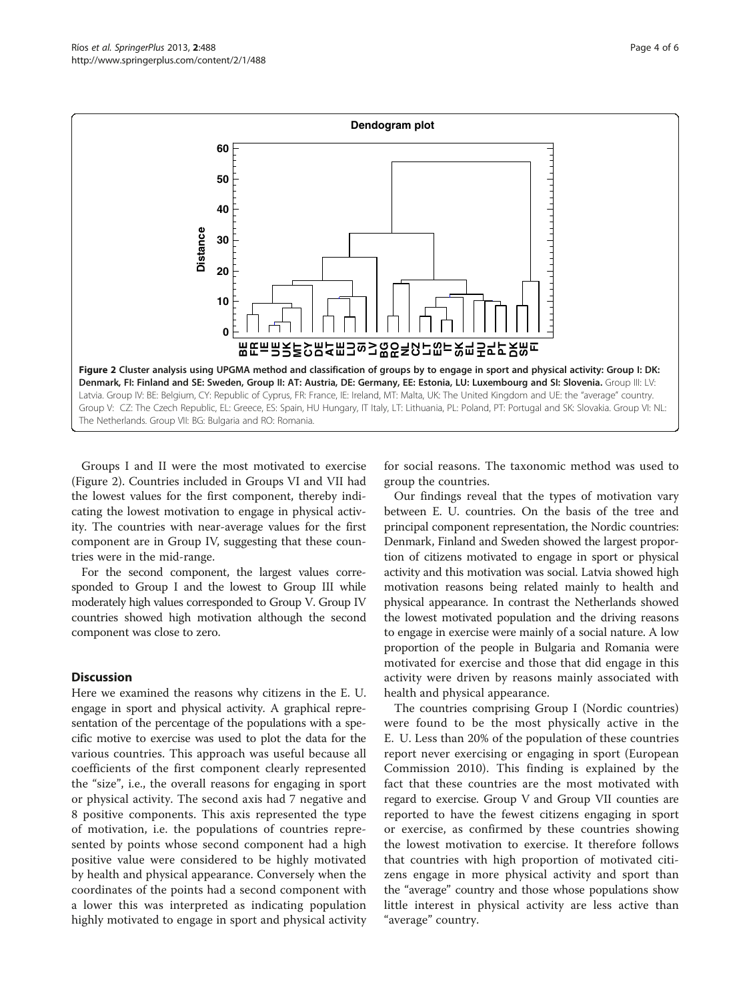<span id="page-3-0"></span>

Groups I and II were the most motivated to exercise (Figure 2). Countries included in Groups VI and VII had the lowest values for the first component, thereby indicating the lowest motivation to engage in physical activity. The countries with near-average values for the first component are in Group IV, suggesting that these countries were in the mid-range.

For the second component, the largest values corresponded to Group I and the lowest to Group III while moderately high values corresponded to Group V. Group IV countries showed high motivation although the second component was close to zero.

## **Discussion**

Here we examined the reasons why citizens in the E. U. engage in sport and physical activity. A graphical representation of the percentage of the populations with a specific motive to exercise was used to plot the data for the various countries. This approach was useful because all coefficients of the first component clearly represented the "size", i.e., the overall reasons for engaging in sport or physical activity. The second axis had 7 negative and 8 positive components. This axis represented the type of motivation, i.e. the populations of countries represented by points whose second component had a high positive value were considered to be highly motivated by health and physical appearance. Conversely when the coordinates of the points had a second component with a lower this was interpreted as indicating population highly motivated to engage in sport and physical activity

for social reasons. The taxonomic method was used to group the countries.

Our findings reveal that the types of motivation vary between E. U. countries. On the basis of the tree and principal component representation, the Nordic countries: Denmark, Finland and Sweden showed the largest proportion of citizens motivated to engage in sport or physical activity and this motivation was social. Latvia showed high motivation reasons being related mainly to health and physical appearance. In contrast the Netherlands showed the lowest motivated population and the driving reasons to engage in exercise were mainly of a social nature. A low proportion of the people in Bulgaria and Romania were motivated for exercise and those that did engage in this activity were driven by reasons mainly associated with health and physical appearance.

The countries comprising Group I (Nordic countries) were found to be the most physically active in the E. U. Less than 20% of the population of these countries report never exercising or engaging in sport (European Commission [2010\)](#page-4-0). This finding is explained by the fact that these countries are the most motivated with regard to exercise. Group V and Group VII counties are reported to have the fewest citizens engaging in sport or exercise, as confirmed by these countries showing the lowest motivation to exercise. It therefore follows that countries with high proportion of motivated citizens engage in more physical activity and sport than the "average" country and those whose populations show little interest in physical activity are less active than "average" country.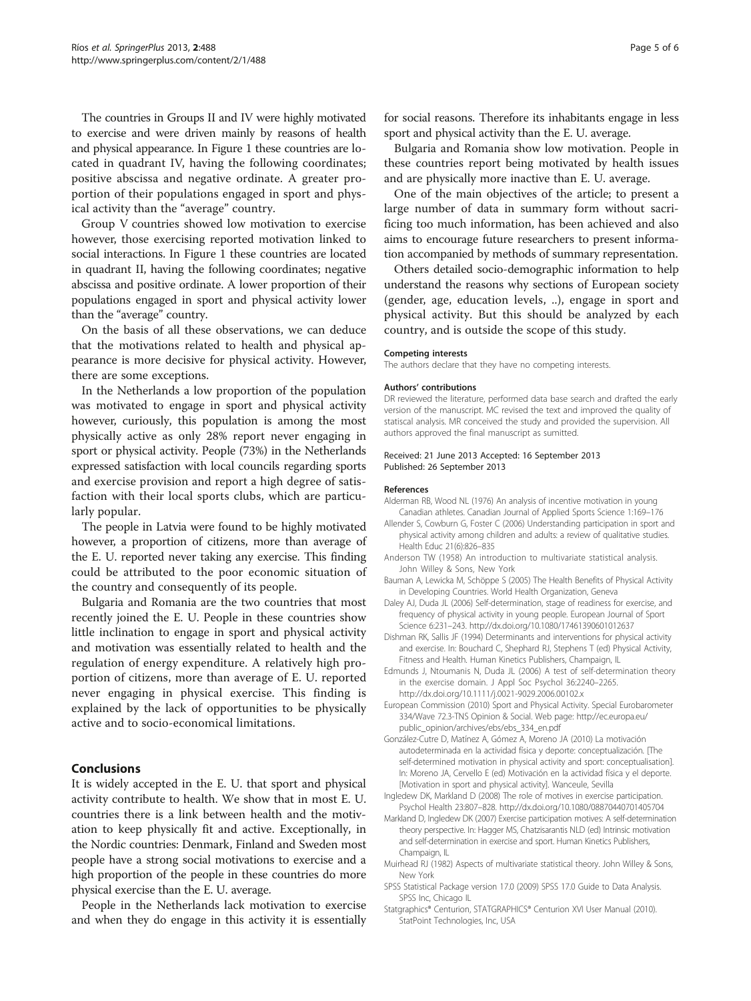<span id="page-4-0"></span>The countries in Groups II and IV were highly motivated to exercise and were driven mainly by reasons of health and physical appearance. In Figure [1](#page-2-0) these countries are located in quadrant IV, having the following coordinates; positive abscissa and negative ordinate. A greater proportion of their populations engaged in sport and physical activity than the "average" country.

Group V countries showed low motivation to exercise however, those exercising reported motivation linked to social interactions. In Figure [1](#page-2-0) these countries are located in quadrant II, having the following coordinates; negative abscissa and positive ordinate. A lower proportion of their populations engaged in sport and physical activity lower than the "average" country.

On the basis of all these observations, we can deduce that the motivations related to health and physical appearance is more decisive for physical activity. However, there are some exceptions.

In the Netherlands a low proportion of the population was motivated to engage in sport and physical activity however, curiously, this population is among the most physically active as only 28% report never engaging in sport or physical activity. People (73%) in the Netherlands expressed satisfaction with local councils regarding sports and exercise provision and report a high degree of satisfaction with their local sports clubs, which are particularly popular.

The people in Latvia were found to be highly motivated however, a proportion of citizens, more than average of the E. U. reported never taking any exercise. This finding could be attributed to the poor economic situation of the country and consequently of its people.

Bulgaria and Romania are the two countries that most recently joined the E. U. People in these countries show little inclination to engage in sport and physical activity and motivation was essentially related to health and the regulation of energy expenditure. A relatively high proportion of citizens, more than average of E. U. reported never engaging in physical exercise. This finding is explained by the lack of opportunities to be physically active and to socio-economical limitations.

#### Conclusions

It is widely accepted in the E. U. that sport and physical activity contribute to health. We show that in most E. U. countries there is a link between health and the motivation to keep physically fit and active. Exceptionally, in the Nordic countries: Denmark, Finland and Sweden most people have a strong social motivations to exercise and a high proportion of the people in these countries do more physical exercise than the E. U. average.

People in the Netherlands lack motivation to exercise and when they do engage in this activity it is essentially for social reasons. Therefore its inhabitants engage in less sport and physical activity than the E. U. average.

Bulgaria and Romania show low motivation. People in these countries report being motivated by health issues and are physically more inactive than E. U. average.

One of the main objectives of the article; to present a large number of data in summary form without sacrificing too much information, has been achieved and also aims to encourage future researchers to present information accompanied by methods of summary representation.

Others detailed socio-demographic information to help understand the reasons why sections of European society (gender, age, education levels, ..), engage in sport and physical activity. But this should be analyzed by each country, and is outside the scope of this study.

#### Competing interests

The authors declare that they have no competing interests.

#### Authors' contributions

DR reviewed the literature, performed data base search and drafted the early version of the manuscript. MC revised the text and improved the quality of statiscal analysis. MR conceived the study and provided the supervision. All authors approved the final manuscript as sumitted.

#### Received: 21 June 2013 Accepted: 16 September 2013 Published: 26 September 2013

#### References

- Alderman RB, Wood NL (1976) An analysis of incentive motivation in young Canadian athletes. Canadian Journal of Applied Sports Science 1:169–176
- Allender S, Cowburn G, Foster C (2006) Understanding participation in sport and physical activity among children and adults: a review of qualitative studies. Health Educ 21(6):826–835
- Anderson TW (1958) An introduction to multivariate statistical analysis. John Willey & Sons, New York
- Bauman A, Lewicka M, Schöppe S (2005) The Health Benefits of Physical Activity in Developing Countries. World Health Organization, Geneva
- Daley AJ, Duda JL (2006) Self-determination, stage of readiness for exercise, and frequency of physical activity in young people. European Journal of Sport Science 6:231–243. http://dx.doi.org/10.1080/17461390601012637
- Dishman RK, Sallis JF (1994) Determinants and interventions for physical activity and exercise. In: Bouchard C, Shephard RJ, Stephens T (ed) Physical Activity, Fitness and Health. Human Kinetics Publishers, Champaign, IL
- Edmunds J, Ntoumanis N, Duda JL (2006) A test of self-determination theory in the exercise domain. J Appl Soc Psychol 36:2240–2265. http://dx.doi.org/10.1111/j.0021-9029.2006.00102.x
- European Commission (2010) Sport and Physical Activity. Special Eurobarometer 334/Wave 72.3-TNS Opinion & Social. Web page: [http://ec.europa.eu/](http://ec.europa.eu/public_opinion/archives/ebs/ebs_334_en.pdf) [public\\_opinion/archives/ebs/ebs\\_334\\_en.pdf](http://ec.europa.eu/public_opinion/archives/ebs/ebs_334_en.pdf)
- González-Cutre D, Matínez A, Gómez A, Moreno JA (2010) La motivación autodeterminada en la actividad física y deporte: conceptualización. [The self-determined motivation in physical activity and sport: conceptualisation]. In: Moreno JA, Cervello E (ed) Motivación en la actividad física y el deporte. [Motivation in sport and physical activity]. Wanceule, Sevilla
- Ingledew DK, Markland D (2008) The role of motives in exercise participation. Psychol Health 23:807–828. http://dx.doi.org/10.1080/08870440701405704
- Markland D, Ingledew DK (2007) Exercise participation motives: A self-determination theory perspective. In: Hagger MS, Chatzisarantis NLD (ed) Intrinsic motivation and self-determination in exercise and sport. Human Kinetics Publishers, Champaign, IL
- Muirhead RJ (1982) Aspects of multivariate statistical theory. John Willey & Sons, New York
- SPSS Statistical Package version 17.0 (2009) SPSS 17.0 Guide to Data Analysis. SPSS Inc, Chicago IL
- Statgraphics® Centurion, STATGRAPHICS® Centurion XVI User Manual (2010). StatPoint Technologies, Inc, USA